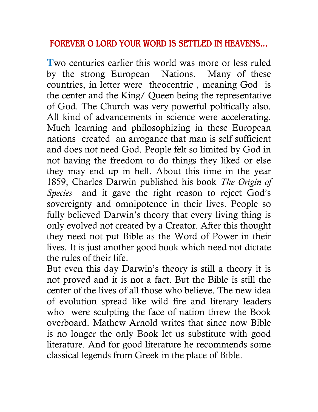## **FOREVER O LORD YOUR WORD IS SETTLED IN HEAVENS…**

**T**wo centuries earlier this world was more or less ruled by the strong European Nations. Many of these countries, in letter were theocentric , meaning God is the center and the King/ Queen being the representative of God. The Church was very powerful politically also. All kind of advancements in science were accelerating. Much learning and philosophizing in these European nations created an arrogance that man is self sufficient and does not need God. People felt so limited by God in not having the freedom to do things they liked or else they may end up in hell. About this time in the year 1859, Charles Darwin published his book *The Origin of Species* and it gave the right reason to reject God's sovereignty and omnipotence in their lives. People so fully believed Darwin's theory that every living thing is only evolved not created by a Creator. After this thought they need not put Bible as the Word of Power in their lives. It is just another good book which need not dictate the rules of their life.

But even this day Darwin's theory is still a theory it is not proved and it is not a fact. But the Bible is still the center of the lives of all those who believe. The new idea of evolution spread like wild fire and literary leaders who were sculpting the face of nation threw the Book overboard. Mathew Arnold writes that since now Bible is no longer the only Book let us substitute with good literature. And for good literature he recommends some classical legends from Greek in the place of Bible.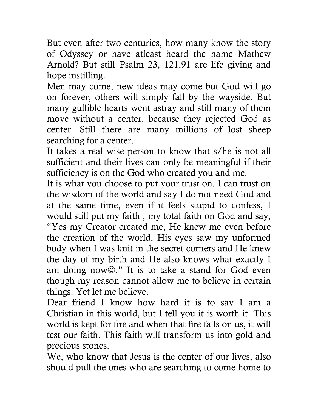But even after two centuries, how many know the story of Odyssey or have atleast heard the name Mathew Arnold? But still Psalm 23, 121,91 are life giving and hope instilling.

Men may come, new ideas may come but God will go on forever, others will simply fall by the wayside. But many gullible hearts went astray and still many of them move without a center, because they rejected God as center. Still there are many millions of lost sheep searching for a center.

It takes a real wise person to know that s/he is not all sufficient and their lives can only be meaningful if their sufficiency is on the God who created you and me.

It is what you choose to put your trust on. I can trust on the wisdom of the world and say I do not need God and at the same time, even if it feels stupid to confess, I would still put my faith , my total faith on God and say, "Yes my Creator created me, He knew me even before the creation of the world, His eyes saw my unformed body when I was knit in the secret corners and He knew the day of my birth and He also knows what exactly I am doing now $\mathbb{O}$ ." It is to take a stand for God even though my reason cannot allow me to believe in certain things. Yet let me believe.

Dear friend I know how hard it is to say I am a Christian in this world, but I tell you it is worth it. This world is kept for fire and when that fire falls on us, it will test our faith. This faith will transform us into gold and precious stones.

We, who know that Jesus is the center of our lives, also should pull the ones who are searching to come home to